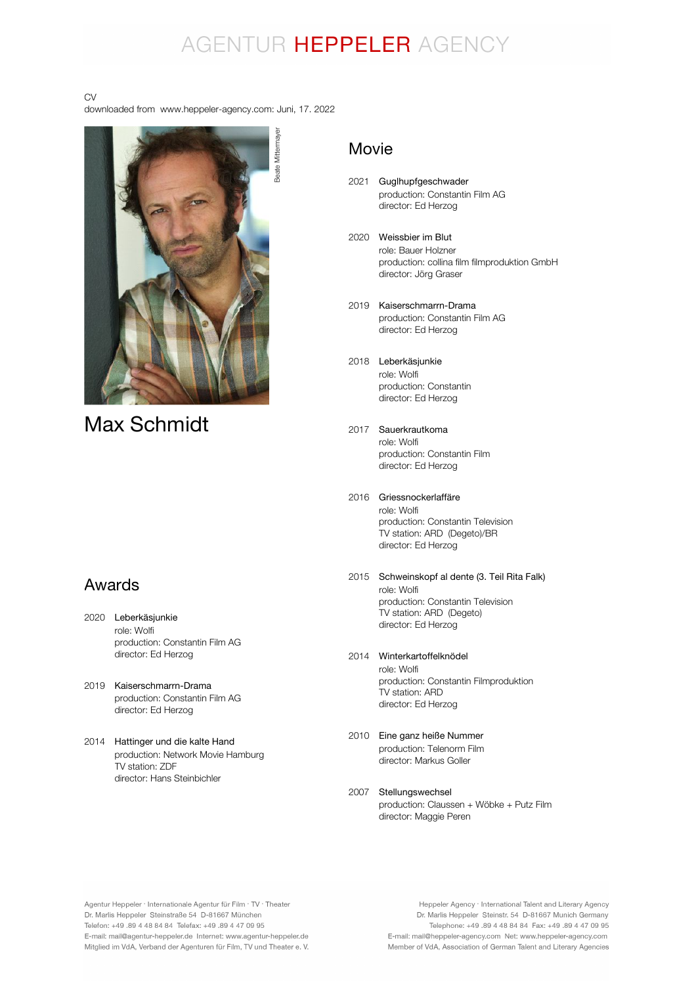## AGENTUR HEPPELER AGENCY

#### CV

downloaded from www.heppeler-agency.com: Juni, 17. 2022



## Max Schmidt

### Awards

- 2020 Leberkäsjunkie role: Wolfi production: Constantin Film AG director: Ed Herzog
- 2019 Kaiserschmarrn-Drama production: Constantin Film AG director: Ed Herzog
- 2014 Hattinger und die kalte Hand production: Network Movie Hamburg TV station: ZDF director: Hans Steinbichler

### Movie

- 2021 Guglhupfgeschwader production: Constantin Film AG director: Ed Herzog
- 2020 Weissbier im Blut role: Bauer Holzner production: collina film filmproduktion GmbH director: Jörg Graser
- 2019 Kaiserschmarrn-Drama production: Constantin Film AG director: Ed Herzog
- 2018 Leberkäsjunkie role: Wolfi production: Constantin director: Ed Herzog
- 2017 Sauerkrautkoma role: Wolfi production: Constantin Film director: Ed Herzog
- 2016 Griessnockerlaffäre role: Wolfi production: Constantin Television TV station: ARD (Degeto)/BR director: Ed Herzog
- 2015 Schweinskopf al dente (3. Teil Rita Falk) role: Wolfi production: Constantin Television TV station: ARD (Degeto) director: Ed Herzog
- 2014 Winterkartoffelknödel role: Wolfi production: Constantin Filmproduktion TV station: ARD director: Ed Herzog
- 2010 Eine ganz heiße Nummer production: Telenorm Film director: Markus Goller
- 2007 Stellungswechselproduction: Claussen + Wöbke + Putz Film director: Maggie Peren

Agentur Heppeler · Internationale Agentur für Film · TV · Theater Dr. Marlis Heppeler Steinstraße 54 D-81667 München Telefon: +49.89 4 48 84 84 Telefax: +49.89 4 47 09 95 E-mail: mail@agentur-heppeler.de Internet: www.agentur-heppeler.de Mitglied im VdA, Verband der Agenturen für Film, TV und Theater e. V.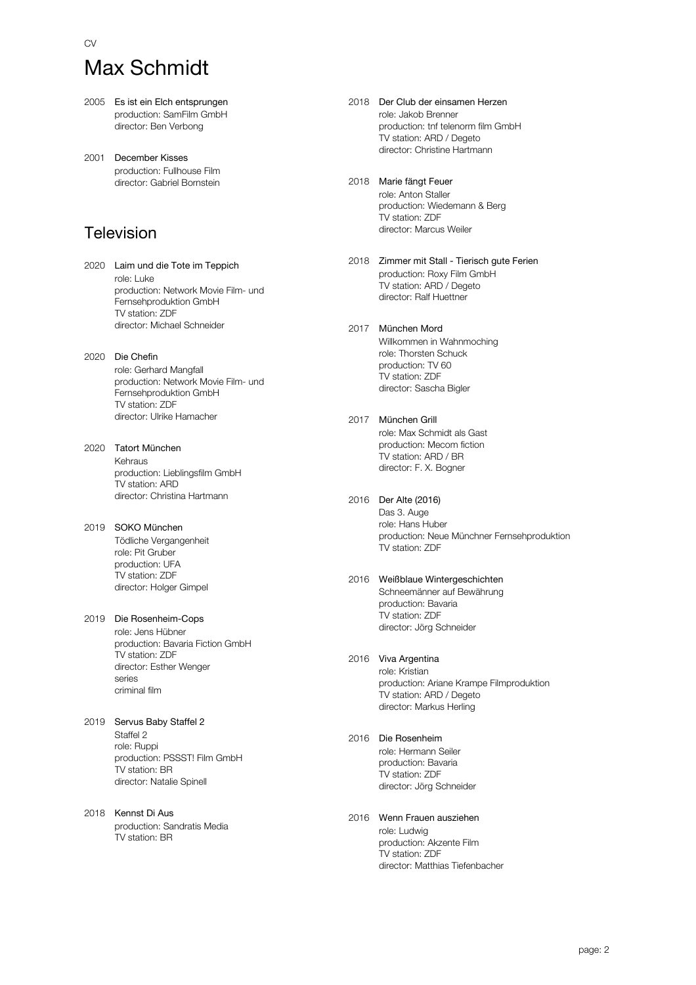# Max Schmidt

CV

- 2005 Es ist ein Elch entsprungen production: SamFilm GmbH director: Ben Verbong
- 2001 December Kisses production: Fullhouse Film director: Gabriel Bornstein

## Television

- 2020 Laim und die Tote im Teppich role: Luke production: Network Movie Film- und Fernsehproduktion GmbH TV station: ZDF director: Michael Schneider
- 2020 Die Chefin role: Gerhard Mangfall production: Network Movie Film- und Fernsehproduktion GmbH TV station: ZDF director: Ulrike Hamacher
- 2020 Tatort München Kehraus production: Lieblingsfilm GmbH TV station: ARD director: Christina Hartmann
- 2019 SOKO München Tödliche Vergangenheit role: Pit Gruber production: UFA TV station: ZDF director: Holger Gimpel
- 2019 Die Rosenheim-Cops role: Jens Hübner production: Bavaria Fiction GmbH TV station: ZDF director: Esther Wenger series criminal film
- 2019 Servus Baby Staffel 2 Staffel 2 role: Ruppi production: PSSST! Film GmbH TV station: BR director: Natalie Spinell
- 2018 Kennst Di Aus production: Sandratis Media TV station: BR
- 2018 Der Club der einsamen Herzen role: Jakob Brenner production: tnf telenorm film GmbH TV station: ARD / Degeto director: Christine Hartmann
- 2018 Marie fängt Feuer role: Anton Staller production: Wiedemann & Berg TV station: ZDF director: Marcus Weiler
- 2018 Zimmer mit Stall Tierisch gute Ferien production: Roxy Film GmbH TV station: ARD / Degeto director: Ralf Huettner
- 2017 München Mord Willkommen in Wahnmoching role: Thorsten Schuck production: TV 60 TV station: ZDF director: Sascha Bigler
- 2017 München Grill role: Max Schmidt als Gast production: Mecom fiction TV station: ARD / BR director: F. X. Bogner

#### 2016 Der Alte (2016)

Das 3. Auge role: Hans Huber production: Neue Münchner Fernsehproduktion TV station: ZDF

#### 2016 Weißblaue Wintergeschichten

Schneemänner auf Bewährung production: Bavaria TV station: ZDF director: Jörg Schneider

#### 2016 Viva Argentina

role: Kristian production: Ariane Krampe Filmproduktion TV station: ARD / Degeto director: Markus Herling

#### 2016 Die Rosenheim

role: Hermann Seiler production: Bavaria TV station: ZDF director: Jörg Schneider

#### 2016 Wenn Frauen ausziehen

role: Ludwig production: Akzente Film TV station: ZDF director: Matthias Tiefenbacher